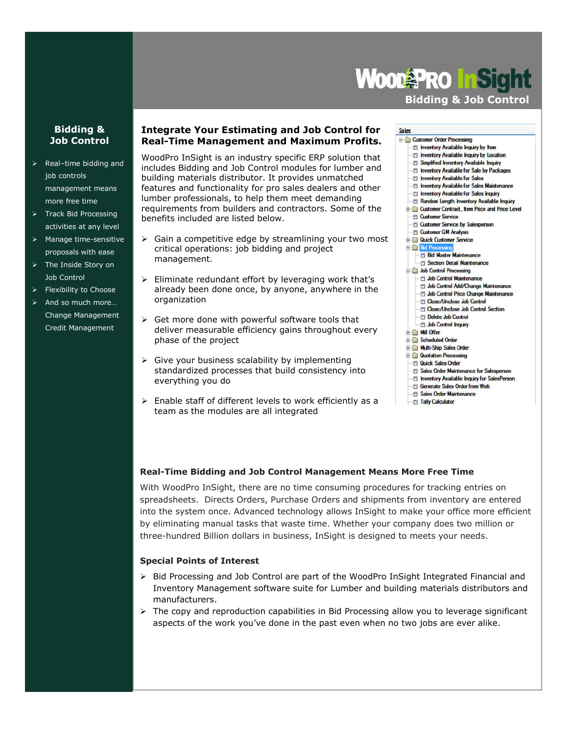# **Wood Pro Fisic**

# **Bidding & Job Control**

## **Bidding & Job Control**

- $\triangleright$  Real-time bidding and job controls management means more free time
- $\triangleright$  Track Bid Processing activities at any level
- $\triangleright$  Manage time-sensitive proposals with ease
- > The Inside Story on Job Control
- > Flexibility to Choose
- And so much more… Change Management Credit Management

### **Integrate Your Estimating and Job Control for Real-Time Management and Maximum Profits.**

WoodPro InSight is an industry specific ERP solution that includes Bidding and Job Control modules for lumber and building materials distributor. It provides unmatched features and functionality for pro sales dealers and other lumber professionals, to help them meet demanding requirements from builders and contractors. Some of the benefits included are listed below.

- $\triangleright$  Gain a competitive edge by streamlining your two most critical operations: job bidding and project management.
- $\triangleright$  Eliminate redundant effort by leveraging work that's already been done once, by anyone, anywhere in the organization
- $\triangleright$  Get more done with powerful software tools that deliver measurable efficiency gains throughout every phase of the project
- $\triangleright$  Give your business scalability by implementing standardized processes that build consistency into everything you do
- $\triangleright$  Enable staff of different levels to work efficiently as a team as the modules are all integrated

#### Sales

- **E-Customer Order Processing El Inventory Available Inquiry by Item** Inventory Available Inquiry by Location **Fill Simplified Inventory Available Inquiry** Inventory Available for Sale by Packages Inventory Available for Sales Inventory Available for Sales Maintenance Inventory Available for Sales Inquiry Random Length Inventory Available Inquiry **E. Customer Contract, Item Price and Price Level El Customer Service El Customer Service by Salesperson** Customer GM Analysis **B Cardick Customer Service Bid** Bid **El Bid Master Maintenance** Section Detail Maintenance Job Control Processing Job Control Maintenance Job Control Add/Change Maintenance Job Control Price Change Maintenance Close/Unclose Job Control
	- Close/Unclose Job Control Section
	- **Delete Job Control**
	- **El Job Control Inquiry**
	- Mill Offer
	- Scheduled Order
	- **E Multi-Ship Sales Order Red Quotation Processing**
	- **D** Quick Sales Order
	- **El Sales Order Maintenance for Salesperson**
	- Inventory Available Inquiry for SalesPerson
	- Generate Sales Order from Web
	- Sales Order Maintenance
	- **Filly Calculator**

# **Real-Time Bidding and Job Control Management Means More Free Time**

With WoodPro InSight, there are no time consuming procedures for tracking entries on spreadsheets. Directs Orders, Purchase Orders and shipments from inventory are entered into the system once. Advanced technology allows InSight to make your office more efficient by eliminating manual tasks that waste time. Whether your company does two million or three-hundred Billion dollars in business, InSight is designed to meets your needs.

# **Special Points of Interest**

- $\triangleright$  Bid Processing and Job Control are part of the WoodPro InSight Integrated Financial and Inventory Management software suite for Lumber and building materials distributors and manufacturers.
- $\triangleright$  The copy and reproduction capabilities in Bid Processing allow you to leverage significant aspects of the work you've done in the past even when no two jobs are ever alike.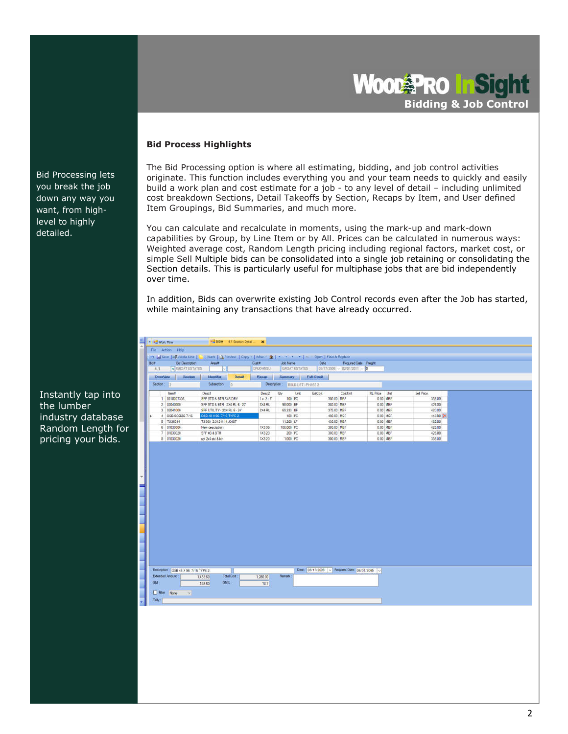Wood<sup>3</sup>PRO InS **Bidding & Job Control**

#### **Bid Process Highlights**

The Bid Processing option is where all estimating, bidding, and job control activities originate. This function includes everything you and your team needs to quickly and easily build a work plan and cost estimate for a job - to any level of detail – including unlimited cost breakdown Sections, Detail Takeoffs by Section, Recaps by Item, and User defined Item Groupings, Bid Summaries, and much more.

You can calculate and recalculate in moments, using the mark-up and mark-down capabilities by Group, by Line Item or by All. Prices can be calculated in numerous ways: Weighted average cost, Random Length pricing including regional factors, market cost, or simple Sell Multiple bids can be consolidated into a single job retaining or consolidating the Section details. This is particularly useful for multiphase jobs that are bid independently over time.

In addition, Bids can overwrite existing Job Control records even after the Job has started, while maintaining any transactions that have already occurred.

|           | Bid#<br><b>Bid Description</b><br>SPOAT ESTATES<br>4.1 |                    | Aveat                          |                              | Cust#<br><b>DRJOHNSU</b> |              | Job Name:                        | GROAT ESTATES | Date                                           | Required Date Freight<br>$0.7772006 - 02491/2011 - 0$ |               |          |            |  |
|-----------|--------------------------------------------------------|--------------------|--------------------------------|------------------------------|--------------------------|--------------|----------------------------------|---------------|------------------------------------------------|-------------------------------------------------------|---------------|----------|------------|--|
|           | <b>DverView</b>                                        | Section            | <b>Identifier</b>              | Dotail                       |                          | Recap.       | <b>Summary</b>                   |               | Full Detail                                    |                                                       |               |          |            |  |
|           | Section: (2)                                           |                    | Subsection:                    | $\sqrt{a}$                   |                          |              | Description: BULK LIST - PHASE 2 |               |                                                |                                                       |               |          |            |  |
|           | tem#                                                   |                    | Desc1                          |                              |                          | Desc2        | <b>Gtv</b>                       | Unit          | EstCost                                        | Cost Unit                                             | RL Price Unit |          | Sell Price |  |
|           | 1 0010207306                                           |                    | SPF STD & BTR 545 DRY          |                              |                          | $1x2-6$      | 100 PC                           |               | 300.00 MBF                                     |                                                       | 0.00 MBF      |          | 336.00     |  |
|           | 2 02040000                                             |                    | SPF STD & BTR - 2X4 RL 6 - 20' |                              |                          | 2X4 FIL      | 98.000 BF                        |               | 380.00 MBF                                     |                                                       | 0.00 MBF      |          | 426.00     |  |
|           | 3.02041000                                             |                    | SPF UTILITY - 2X4 RL 6 - 24'   |                              |                          | 2X4 RL       | 69.333 BF                        |               | 375.00 MBF                                     |                                                       | 0.00 MBF      |          | 420.00     |  |
|           | 4 0SB4809602-7/16                                      |                    | OSB 48 X 96 7/16 TYPE 2        |                              |                          |              | 100 PC                           |               | 400.00 MSF                                     |                                                       |               | 0.00 MSF | 448.00 X   |  |
|           | 5 TJI36014                                             |                    | TJ1360 2.312 X 14 JOIST        |                              |                          |              | 11.200 LF                        |               | 430.00 MBF                                     |                                                       | 0.00 MBF      |          | 482.00     |  |
|           | 6 01030006                                             |                    | New description                |                              |                          | <b>1X306</b> | 100.000 PC                       |               | 380.00 MBF                                     |                                                       | 0.00 MBF      |          | 426.00     |  |
|           | 7 01030020                                             |                    | SPF#3&BTR                      |                              |                          | 1X3 20       | 200 PC                           |               | 380.00 MBF                                     |                                                       | 0.00 MBF      |          | 426.00     |  |
|           | 8 01030020                                             |                    | not 2x4 ind & btr              |                              |                          |              |                                  |               |                                                |                                                       |               |          |            |  |
|           |                                                        |                    |                                |                              |                          | TX3 20       | 1,000 PC                         |               | 300.00 MBF                                     |                                                       |               | 0.00 MBF | 336.00     |  |
|           |                                                        |                    |                                |                              |                          |              |                                  |               |                                                |                                                       |               |          |            |  |
|           |                                                        |                    |                                |                              |                          |              |                                  |               |                                                |                                                       |               |          |            |  |
|           | Description : OSB 48 X 96 7/16 TYPE 2                  |                    |                                |                              |                          |              |                                  |               | Date: 05/17/2005 - Required Date: 06/01/2005 - |                                                       |               |          |            |  |
| <b>GM</b> | <b>Extended Amount</b>                                 | 1,433.60<br>153.60 |                                | <b>Total Cost:</b><br>GM% :- | 1,280.00                 | 10.7         | <b>Renak</b>                     |               |                                                |                                                       |               |          |            |  |

Instantly tap into the lumber industry database Random Length for pricing your bids.

Bid Processing lets you break the job down any way you want, from highlevel to highly detailed.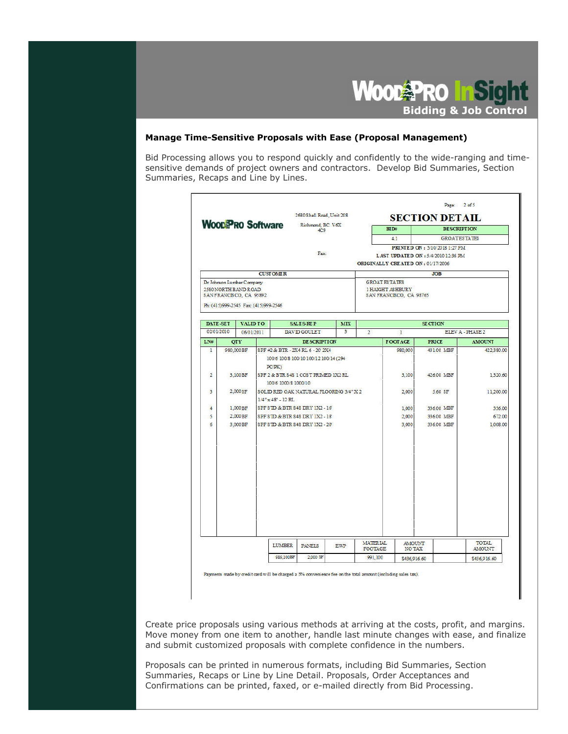

#### **Manage Time-Sensitive Proposals with Ease (Proposal Management)**

Bid Processing allows you to respond quickly and confidently to the wide-ranging and timesensitive demands of project owners and contractors. Develop Bid Summaries, Section Summaries, Recaps and Line by Lines.

|                 |                                                                             | <b>WOODPRO Software</b>              | 2680 Shell Road, Unit 208<br>Richmond, BC V6X |                         |                                            |                                                                            | <b>SECTION DETAIL</b>               |                               |
|-----------------|-----------------------------------------------------------------------------|--------------------------------------|-----------------------------------------------|-------------------------|--------------------------------------------|----------------------------------------------------------------------------|-------------------------------------|-------------------------------|
|                 |                                                                             |                                      | 4C9                                           |                         |                                            | $BI$ D#                                                                    | <b>DE SCRIPTION</b>                 |                               |
|                 |                                                                             |                                      |                                               |                         |                                            | 4.1                                                                        | <b>GROATESTATES</b>                 |                               |
|                 |                                                                             |                                      | Fax:                                          |                         |                                            |                                                                            | PRINTED ON: 5/10/2018 1:27 PM       |                               |
|                 |                                                                             |                                      |                                               |                         |                                            | ORIGINALLY CREATED ON: 01/17/2006                                          | LAST UPDATED ON : 5/4/2010 12:36 PM |                               |
|                 |                                                                             | <b>CUSTOMER</b>                      |                                               |                         |                                            |                                                                            | <b>JOB</b>                          |                               |
|                 | Dr Johnson Lumber Company<br>2580 NORTH BAND ROAD<br>SANFRANCISCO, CA 95892 | Ph: (415)999-2545 Fax: (415)999-2546 |                                               |                         |                                            | <b>GROAT ESTATES</b><br><b>1 HAIGHT ASHBURY</b><br>SAN FRANCISCO, CA 98765 |                                     |                               |
| <b>DATE-SET</b> | <b>VALID TO</b>                                                             |                                      | <b>SALES-REP</b>                              | <b>MIX</b>              |                                            |                                                                            | <b>SECTION</b>                      |                               |
| 02/01/2010      | 06/01/2011                                                                  |                                      | DAVID GOULET                                  | $\overline{\mathbf{3}}$ | <b>ELEVA-PHASE2</b><br>$\overline{2}$<br>ı |                                                                            |                                     |                               |
| LN#             | <b>OTY</b>                                                                  |                                      | <b>DESCRIPTION</b>                            |                         |                                            | <b>FOOTAGE</b>                                                             | <b>PRICE</b>                        | <b>AMOUNT</b>                 |
| $\mathbf{I}$    | 980,000 BF                                                                  |                                      | SPF #2 & BTR - 2X4 RL 6 - 20' 2X4             |                         |                                            | 980,000                                                                    | 431.00 MBF                          | 422,380.00                    |
|                 |                                                                             |                                      | 100/6 100/8 100/10 100/12 100/14 (294         |                         |                                            |                                                                            |                                     |                               |
|                 |                                                                             | $PC$ $PK$ $)$                        |                                               |                         |                                            |                                                                            |                                     |                               |
| $\overline{2}$  | 3.100BF                                                                     |                                      | SPF 2 & BTR \$4\$ 1 COST PRIMED 1X2 RL        |                         |                                            | 3,100                                                                      | 426.00 MBF                          | 1.320.60                      |
|                 |                                                                             | 100/6 1000/8 1000/10                 |                                               |                         |                                            |                                                                            |                                     |                               |
| 3               | 2.000SF                                                                     |                                      | SOLID RED OAK NATURAL FLOORING 3/4" X 2       |                         |                                            | 2,000                                                                      | 5.60 SF                             | 11,200.00                     |
|                 | $1/4$ " $\times$ 48" - 12 RL                                                |                                      |                                               |                         |                                            |                                                                            |                                     |                               |
| 4               | SPF STD & BTR S4S DRY 1X2-16<br>1,000BF                                     |                                      |                                               |                         | 1,000                                      | 336.00 MBF                                                                 | 336.00                              |                               |
| 5               | 2.000BF                                                                     |                                      | SPF STD & BTR \$4\$ DRY 1X2-18                |                         |                                            | 2,000                                                                      | 336.00 MBF                          | 672.00                        |
| 6               | 3.000BF                                                                     |                                      | SPF STD & BTR \$4\$ DRY 1X2 - 20              |                         |                                            | 3,000                                                                      | 336.00 MBF                          | 1,008.00                      |
|                 |                                                                             |                                      |                                               |                         |                                            |                                                                            |                                     |                               |
|                 |                                                                             | <b>LUMBER</b>                        | <b>PANELS</b>                                 | <b>EWP</b>              | <b>MATERIAL</b><br><b>FOOTAGE</b>          | <b>AMOUNT</b><br>NO TAX                                                    |                                     | <b>TOTAL</b><br><b>AMOUNT</b> |
|                 |                                                                             |                                      |                                               |                         |                                            |                                                                            |                                     |                               |

Payments made by credit card will be charged a 3% convenience fee on the total amount (including sales tax).

Create price proposals using various methods at arriving at the costs, profit, and margins. Move money from one item to another, handle last minute changes with ease, and finalize and submit customized proposals with complete confidence in the numbers.

3 Confirmations can be printed, faxed, or e-mailed directly from Bid Processing. Proposals can be printed in numerous formats, including Bid Summaries, Section Summaries, Recaps or Line by Line Detail. Proposals, Order Acceptances and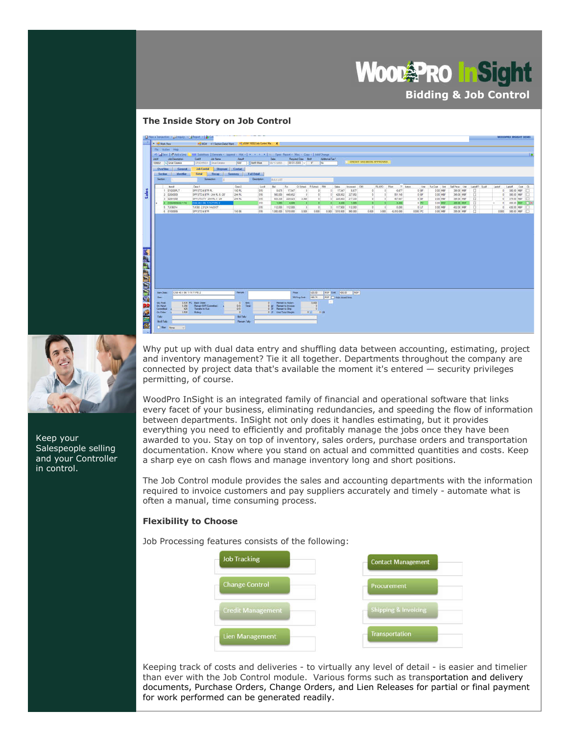# **Wood PRO Thisig Bidding & Job Control**

#### **The Inside Story on Job Control**



Keep your Salespeople selling and your Controller in control.

Why put up with dual data entry and shuffling data between accounting, estimating, project and inventory management? Tie it all together. Departments throughout the company are connected by project data that's available the moment it's entered  $-$  security privileges permitting, of course.

WoodPro InSight is an integrated family of financial and operational software that links every facet of your business, eliminating redundancies, and speeding the flow of information between departments. InSight not only does it handles estimating, but it provides everything you need to efficiently and profitably manage the jobs once they have been awarded to you. Stay on top of inventory, sales orders, purchase orders and transportation documentation. Know where you stand on actual and committed quantities and costs. Keep a sharp eye on cash flows and manage inventory long and short positions.

The Job Control module provides the sales and accounting departments with the information required to invoice customers and pay suppliers accurately and timely - automate what is often a manual, time consuming process.

#### **Flexibility to Choose**

Job Processing features consists of the following:

| <b>Job Tracking</b>      | <b>Contact Management</b>       |
|--------------------------|---------------------------------|
| <b>Change Control</b>    | Procurement                     |
| <b>Credit Management</b> | <b>Shipping &amp; Invoicing</b> |
| Lien Management          | <b>Transportation</b>           |

4 documents, Purchase Orders, Change Orders, and Lien Releases for partial or final payment Keeping track of costs and deliveries - to virtually any level of detail - is easier and timelier than ever with the Job Control module. Various forms such as transportation and delivery for work performed can be generated readily.